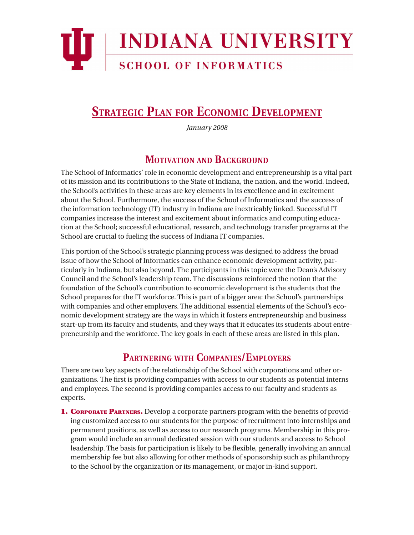

# **STRATEGIC PLAN FOR ECONOMIC DEVELOPMENT**

*January 2008*

#### **MOTIVATION AND BACKGROUND**

The School of Informatics' role in economic development and entrepreneurship is a vital part of its mission and its contributions to the State of Indiana, the nation, and the world. Indeed, the School's activities in these areas are key elements in its excellence and in excitement about the School. Furthermore, the success of the School of Informatics and the success of the information technology (IT) industry in Indiana are inextricably linked. Successful IT companies increase the interest and excitement about informatics and computing education at the School; successful educational, research, and technology transfer programs at the School are crucial to fueling the success of Indiana IT companies.

This portion of the School's strategic planning process was designed to address the broad issue of how the School of Informatics can enhance economic development activity, particularly in Indiana, but also beyond. The participants in this topic were the Dean's Advisory Council and the School's leadership team. The discussions reinforced the notion that the foundation of the School's contribution to economic development is the students that the School prepares for the IT workforce. This is part of a bigger area: the School's partnerships with companies and other employers. The additional essential elements of the School's economic development strategy are the ways in which it fosters entrepreneurship and business start-up from its faculty and students, and they ways that it educates its students about entrepreneurship and the workforce. The key goals in each of these areas are listed in this plan.

#### **PARTNERING WITH COMPANIES/EMPLOYERS**

There are two key aspects of the relationship of the School with corporations and other organizations. The first is providing companies with access to our students as potential interns and employees. The second is providing companies access to our faculty and students as experts.

**1. CORPORATE PARTNERS.** Develop a corporate partners program with the benefits of providing customized access to our students for the purpose of recruitment into internships and permanent positions, as well as access to our research programs. Membership in this program would include an annual dedicated session with our students and access to School leadership. The basis for participation is likely to be flexible, generally involving an annual membership fee but also allowing for other methods of sponsorship such as philanthropy to the School by the organization or its management, or major in-kind support.